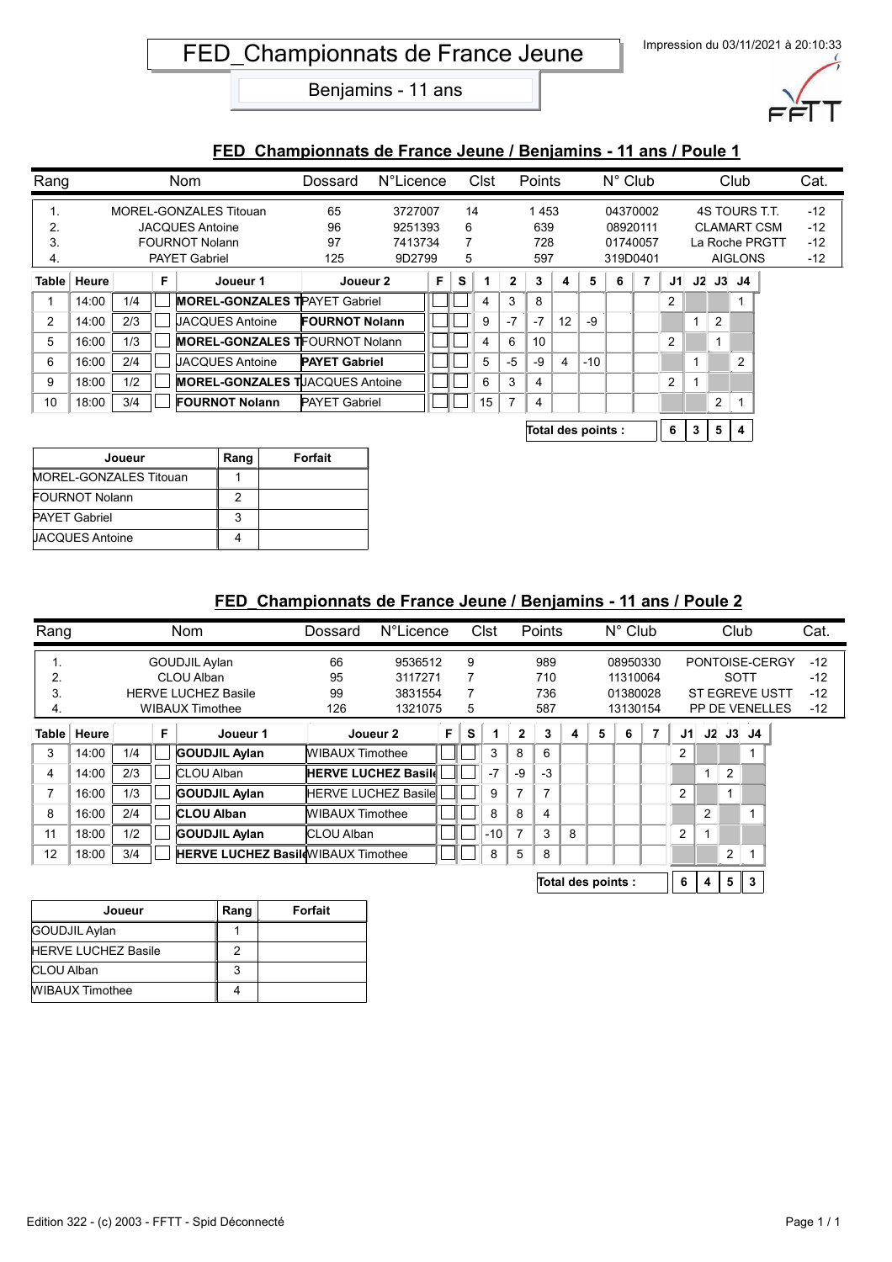

#### **FED\_Championnats de France Jeune / Benjamins - 11 ans / Poule 1**

| Rang |             |     |   | <b>Nom</b>                              | Dossard               | N°Licence |   |   | Clst |                | Points |    |       | $N^{\circ}$ Club |                |    |                | Club           |                    | Cat.  |
|------|-------------|-----|---|-----------------------------------------|-----------------------|-----------|---|---|------|----------------|--------|----|-------|------------------|----------------|----|----------------|----------------|--------------------|-------|
| . .  |             |     |   | MOREL-GONZALES Titouan                  | 65                    | 3727007   |   |   | 14   |                | 1453   |    |       |                  | 04370002       |    |                |                | 4S TOURS T.T.      | $-12$ |
| 2.   |             |     |   | <b>JACQUES Antoine</b>                  | 96                    | 9251393   |   | 6 |      |                | 639    |    |       |                  | 08920111       |    |                |                | <b>CLAMART CSM</b> | $-12$ |
| 3.   |             |     |   | <b>FOURNOT Nolann</b>                   | 97                    | 7413734   |   | 7 |      |                | 728    |    |       |                  | 01740057       |    |                |                | La Roche PRGTT     | $-12$ |
| 4.   |             |     |   | <b>PAYET Gabriel</b>                    | 125                   | 9D2799    |   | 5 |      |                | 597    |    |       |                  | 319D0401       |    |                | <b>AIGLONS</b> |                    | $-12$ |
|      | Table Heure |     | F | Joueur 1                                | Joueur 2              |           | F | s |      | $\mathbf{2}$   | 3      | 4  | 5     | 6                | $\overline{7}$ | J1 |                | $J2$ $J3$ $J4$ |                    |       |
|      | 14:00       | 1/4 |   | <b>MOREL-GONZALES TPAYET Gabriel</b>    |                       |           |   |   |      | 3              | 8      |    |       |                  |                | 2  |                |                |                    |       |
| 2    | 14:00       | 2/3 |   | JACQUES Antoine                         | <b>FOURNOT Nolann</b> |           |   |   | 9    | $-7$           | $-7$   | 12 | -9    |                  |                |    | $\overline{2}$ |                |                    |       |
| 5    | 16:00       | 1/3 |   | <b>MOREL-GONZALES TFOURNOT Nolann</b>   |                       |           |   |   | 4    | 6              | 10     |    |       |                  |                | 2  |                |                |                    |       |
| 6    | 16:00       | 2/4 |   | <b>JACQUES Antoine</b>                  | <b>PAYET Gabriel</b>  |           |   |   | 5    | $-5$           | -9     | 4  | $-10$ |                  |                |    |                | 2              |                    |       |
| 9    | 18:00       | 1/2 |   | <b>MOREL-GONZALES TIJACQUES Antoine</b> |                       |           |   |   | 6    | 3              | 4      |    |       |                  |                | 2  |                |                |                    |       |
| 10   | 18:00       | 3/4 |   | <b>FOURNOT Nolann</b>                   | <b>PAYET Gabriel</b>  |           |   |   | 15   | $\overline{ }$ | 4      |    |       |                  |                |    | 2              |                |                    |       |
|      |             |     |   |                                         |                       |           |   |   |      |                |        |    |       |                  |                |    |                |                |                    |       |

**Total des points : 6 3 5 4**

| Joueur                 | Rang | Forfait |
|------------------------|------|---------|
| MOREL-GONZALES Titouan |      |         |
| <b>FOURNOT Nolann</b>  |      |         |
| <b>PAYET Gabriel</b>   | ঽ    |         |
| <b>UACQUES Antoine</b> |      |         |

| Rang           |             |               |  | <b>Nom</b>                                | Dossard                    | <b>N°Licence</b> |   |   | Clst  |                | Points             |   |   | $N^{\circ}$ Club |   |                |              | Club |                |                | Cat.  |
|----------------|-------------|---------------|--|-------------------------------------------|----------------------------|------------------|---|---|-------|----------------|--------------------|---|---|------------------|---|----------------|--------------|------|----------------|----------------|-------|
| 1.             |             |               |  | GOUDJIL Aylan                             | 66                         | 9536512          |   | 9 |       |                | 989                |   |   | 08950330         |   |                |              |      |                | PONTOISE-CERGY | $-12$ |
| 2.             |             |               |  | CLOU Alban                                | 95                         | 3117271          |   | 7 |       |                | 710                |   |   | 11310064         |   |                |              | SOTT |                |                | $-12$ |
| 3.             |             |               |  | <b>HERVE LUCHEZ Basile</b>                | 99                         | 3831554          |   | 7 |       |                | 736                |   |   | 01380028         |   |                |              |      | ST EGREVE USTT |                | $-12$ |
| 4.             |             |               |  | <b>WIBAUX Timothee</b>                    | 126                        | 1321075          |   | 5 |       |                | 587                |   |   | 13130154         |   |                |              |      | PP DE VENELLES |                | $-12$ |
|                | Table Heure | F<br>Joueur 1 |  |                                           |                            | Joueur 2         | F | s |       | 2              | 3                  | 4 | 5 | 6                | 7 | J1             | J2           |      | J3 J4          |                |       |
| 3              | 14:00       | 1/4           |  | <b>GOUDJIL Aylan</b>                      | WIBAUX Timothee            |                  |   |   | 3     | 8              | 6                  |   |   |                  |   | $\overline{2}$ |              |      |                |                |       |
| 4              | 14:00       | 2/3           |  | <b>CLOU Alban</b>                         | <b>HERVE LUCHEZ Basild</b> |                  |   |   | $-7$  | $-9$           | $-3$               |   |   |                  |   |                | $\mathbf{1}$ | 2    |                |                |       |
| $\overline{7}$ | 16:00       | 1/3           |  | <b>GOUDJIL Aylan</b>                      | <b>HERVE LUCHEZ Basile</b> |                  |   |   | 9     | $\overline{ }$ | $\overline{7}$     |   |   |                  |   | $\overline{2}$ |              |      |                |                |       |
| 8              | 16:00       | 2/4           |  | <b>CLOU Alban</b>                         | <b>WIBAUX Timothee</b>     |                  |   |   | 8     | 8              | 4                  |   |   |                  |   |                | 2            |      |                |                |       |
| 11             | 18:00       | 1/2           |  | <b>GOUDJIL Aylan</b>                      | <b>CLOU Alban</b>          |                  |   |   | $-10$ | 7              | 3                  | 8 |   |                  |   | $\overline{2}$ |              |      |                |                |       |
| 12             | 18:00       | 3/4           |  | <b>HERVE LUCHEZ Basil WIBAUX Timothee</b> |                            |                  |   |   | 8     | 5              | 8                  |   |   |                  |   |                |              | 2    |                |                |       |
|                |             |               |  |                                           |                            |                  |   |   |       |                | Total des points : |   |   | 6                |   | 5              | 3            |      |                |                |       |

| Joueur                     | Rang | Forfait |
|----------------------------|------|---------|
| GOUDJIL Aylan              |      |         |
| <b>HERVE LUCHEZ Basile</b> |      |         |
| CLOU Alban                 | 2    |         |
| <b>WIBAUX Timothee</b>     |      |         |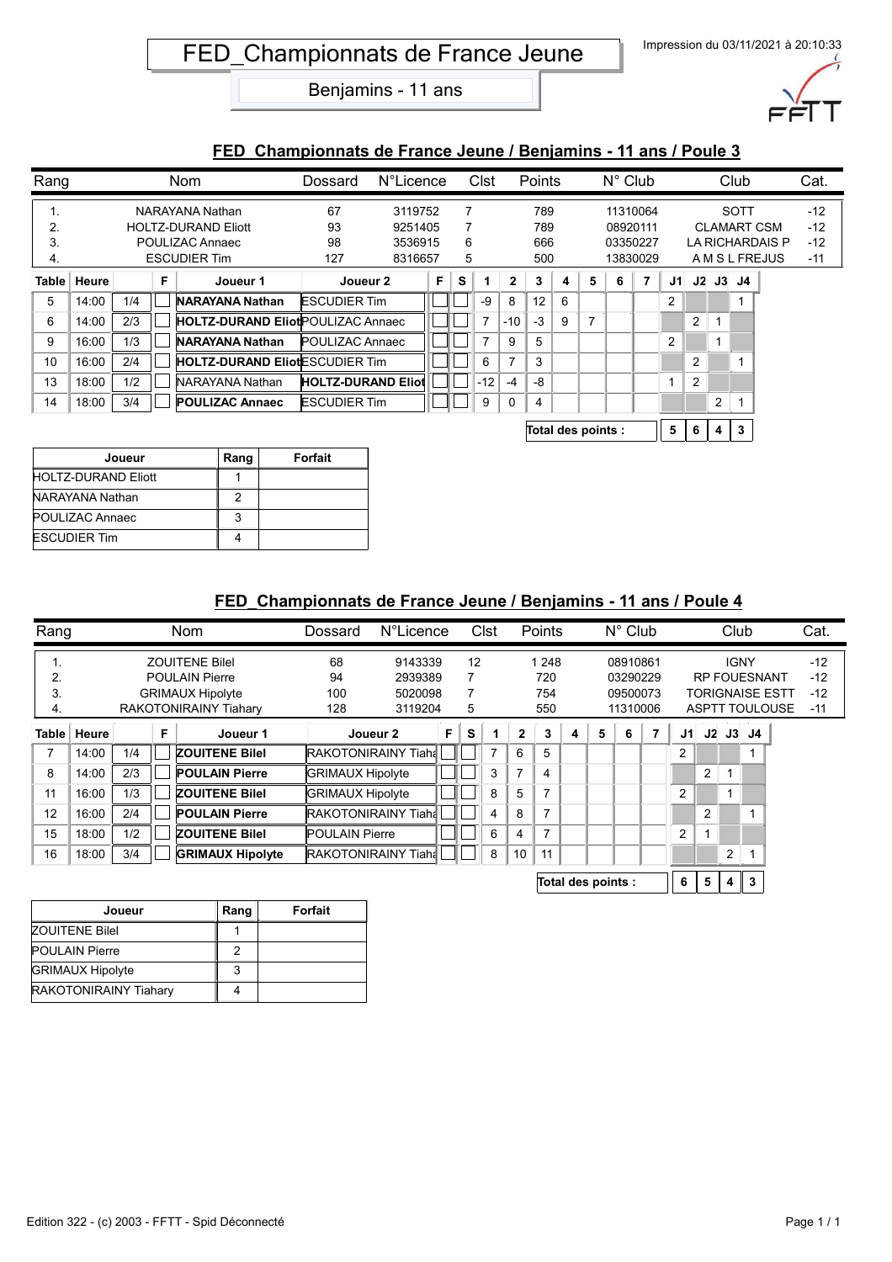

### **FED\_Championnats de France Jeune / Benjamins - 11 ans / Poule 3**

| Rang         |       |     |   | Nom                                       | Dossard                   | <b>N°Licence</b> |   |   | Clst  |                | Points |   |   | $N^{\circ}$ Club |          |                |                |   | Club           |                    | Cat.  |
|--------------|-------|-----|---|-------------------------------------------|---------------------------|------------------|---|---|-------|----------------|--------|---|---|------------------|----------|----------------|----------------|---|----------------|--------------------|-------|
| . .          |       |     |   | NARAYANA Nathan                           | 67                        | 3119752          |   | 7 |       |                | 789    |   |   |                  | 11310064 |                |                |   | <b>SOTT</b>    |                    | $-12$ |
| 2.           |       |     |   | <b>HOLTZ-DURAND Eliott</b>                | 93                        | 9251405          |   | 7 |       |                | 789    |   |   |                  | 08920111 |                |                |   |                | <b>CLAMART CSM</b> | $-12$ |
| 3.           |       |     |   | POULIZAC Annaec                           | 98                        | 3536915          |   | 6 |       |                | 666    |   |   |                  | 03350227 |                |                |   |                | LA RICHARDAIS P    | $-12$ |
| 4.           |       |     |   | <b>ESCUDIER Tim</b>                       | 127                       | 8316657          |   | 5 |       |                | 500    |   |   |                  | 13830029 |                |                |   |                | A M S L FREJUS     | $-11$ |
| <b>Table</b> | Heure |     | F | Joueur 1                                  | Joueur 2                  |                  | F | s |       | $\mathbf{2}$   | 3      | 4 | 5 | 6                | 7        | J1             |                |   | $J2$ $J3$ $J4$ |                    |       |
| 5            | 14:00 | 1/4 |   | <b>NARAYANA Nathan</b>                    | <b>ESCUDIER Tim</b>       |                  |   |   | -9    | 8              | 12     | 6 |   |                  |          | 2              |                |   |                |                    |       |
| 6            | 14:00 | 2/3 |   | <b>HOLTZ-DURAND Eliot POULIZAC Annaec</b> |                           |                  |   |   |       | $-10$          | $-3$   | 9 | 7 |                  |          |                | $\overline{2}$ |   |                |                    |       |
| 9            | 16:00 | 1/3 |   | <b>NARAYANA Nathan</b>                    | <b>POULIZAC Annaec</b>    |                  |   |   |       | 9              | 5      |   |   |                  |          | $\overline{2}$ |                |   |                |                    |       |
| 10           | 16:00 | 2/4 |   | <b>HOLTZ-DURAND EliotESCUDIER Tim</b>     |                           |                  |   |   | 6     | $\overline{ }$ | 3      |   |   |                  |          |                | 2              |   |                |                    |       |
| 13           | 18:00 | 1/2 |   | NARAYANA Nathan                           | <b>HOLTZ-DURAND Eliot</b> |                  |   |   | $-12$ | $-4$           | -8     |   |   |                  |          |                | 2              |   |                |                    |       |
| 14           | 18:00 | 3/4 |   | <b>POULIZAC Annaec</b>                    | <b>ESCUDIER Tim</b>       |                  |   |   | 9     | 0              | 4      |   |   |                  |          |                |                | 2 |                |                    |       |
|              |       |     |   |                                           |                           |                  |   |   |       |                |        |   |   |                  |          |                |                |   |                |                    |       |

**Total des points : 5 6 4 3**

| Joueur                     | Rang | Forfait |
|----------------------------|------|---------|
| <b>HOLTZ-DURAND Eliott</b> |      |         |
| NARAYANA Nathan            |      |         |
| POULIZAC Annaec            | વ    |         |
| <b>ESCUDIER Tim</b>        |      |         |

| Rang           |       |     |   | <b>Nom</b>                   | Dossard                    | N°Licence                  |    |    | Clst |                | Points         |   |                    | $N^{\circ}$ Club |                |                |    | Club        |                     |                        | Cat.  |
|----------------|-------|-----|---|------------------------------|----------------------------|----------------------------|----|----|------|----------------|----------------|---|--------------------|------------------|----------------|----------------|----|-------------|---------------------|------------------------|-------|
| $\mathbf{1}$ . |       |     |   | <b>ZOUITENE Bilel</b>        | 68                         | 9143339                    |    | 12 |      |                | 1 248          |   |                    | 08910861         |                |                |    | <b>IGNY</b> |                     |                        | $-12$ |
| 2.             |       |     |   | <b>POULAIN Pierre</b>        | 94                         | 2939389                    |    | 7  |      |                | 720            |   |                    | 03290229         |                |                |    |             | <b>RP FOUESNANT</b> |                        | $-12$ |
| 3.             |       |     |   | <b>GRIMAUX Hipolyte</b>      | 100                        | 5020098                    |    | 7  |      |                | 754            |   |                    | 09500073         |                |                |    |             |                     | <b>TORIGNAISE ESTT</b> | $-12$ |
| 4.             |       |     |   | <b>RAKOTONIRAINY Tiahary</b> | 128                        | 3119204                    |    | 5  |      |                | 550            |   |                    | 11310006         |                |                |    |             |                     | <b>ASPTT TOULOUSE</b>  | $-11$ |
| Table          | Heure |     | F | Joueur 1                     | Joueur 2                   |                            | F. | s  |      | 2              | 3              | 4 | 5                  | 6                | $\overline{7}$ | J1             | J2 |             | $J3$ $J4$           |                        |       |
| 7              | 14:00 | 1/4 |   | <b>ZOUITENE Bilel</b>        |                            | <b>RAKOTONIRAINY Tiaha</b> |    |    | 7    | 6              | 5              |   |                    |                  |                | $\overline{2}$ |    |             |                     |                        |       |
| 8              | 14:00 | 2/3 |   | <b>POULAIN Pierre</b>        | <b>GRIMAUX Hipolyte</b>    |                            |    |    | 3    | $\overline{ }$ | 4              |   |                    |                  |                |                | 2  |             |                     |                        |       |
| 11             | 16:00 | 1/3 |   | <b>ZOUITENE Bilel</b>        | <b>GRIMAUX Hipolyte</b>    |                            |    |    | 8    | 5              | $\overline{7}$ |   |                    |                  |                | $\overline{2}$ |    |             |                     |                        |       |
| 12             | 16:00 | 2/4 |   | <b>POULAIN Pierre</b>        |                            | <b>RAKOTONIRAINY Tiaha</b> |    |    | 4    | 8              | $\overline{7}$ |   |                    |                  |                |                | 2  |             |                     |                        |       |
| 15             | 18:00 | 1/2 |   | <b>ZOUITENE Bilel</b>        | <b>POULAIN Pierre</b>      |                            |    |    | 6    | 4              | 7              |   |                    |                  |                | $\overline{2}$ |    |             |                     |                        |       |
| 16             | 18:00 | 3/4 |   | <b>GRIMAUX Hipolyte</b>      | <b>RAKOTONIRAINY Tiaha</b> |                            |    |    | 8    | 10             | 11             |   |                    |                  |                |                |    | 2           |                     |                        |       |
|                |       |     |   |                              |                            |                            |    |    |      |                |                |   | Total des points : |                  |                | 6              | 5  | 4           | 3                   |                        |       |

| Joueur                       | Rang | Forfait |
|------------------------------|------|---------|
| <b>ZOUITENE BileI</b>        |      |         |
| <b>POULAIN Pierre</b>        |      |         |
| <b>GRIMAUX Hipolyte</b>      |      |         |
| <b>RAKOTONIRAINY Tiahary</b> |      |         |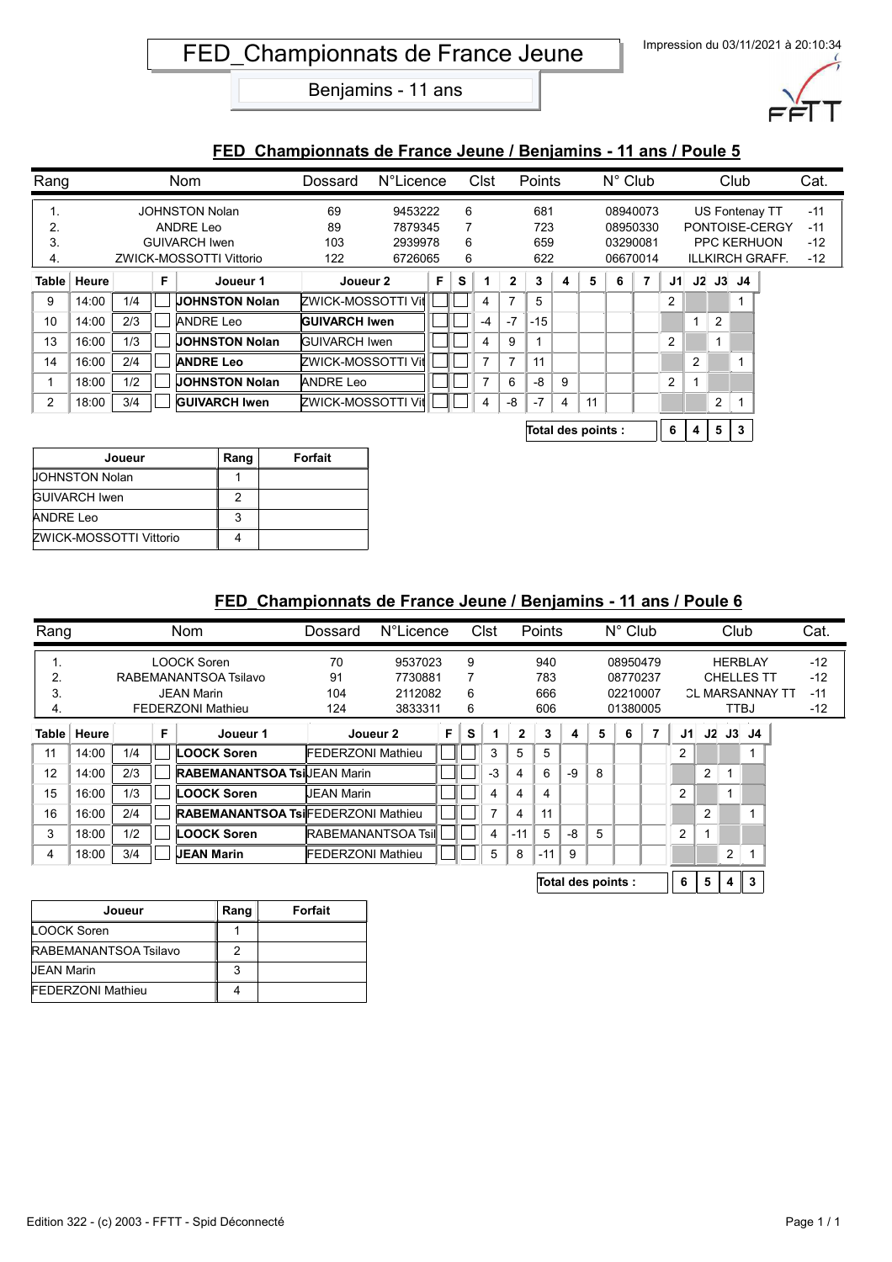

### **FED\_Championnats de France Jeune / Benjamins - 11 ans / Poule 5**

| Rang         |       |     |   | <b>Nom</b>              | Dossard              | N°Licence |    |   | Clst |                | Points |   |    | $N^{\circ}$ Club |                |    |                |                | Club                    |                        | Cat.  |
|--------------|-------|-----|---|-------------------------|----------------------|-----------|----|---|------|----------------|--------|---|----|------------------|----------------|----|----------------|----------------|-------------------------|------------------------|-------|
| .,           |       |     |   | <b>JOHNSTON Nolan</b>   | 69                   | 9453222   |    | 6 |      |                | 681    |   |    |                  | 08940073       |    |                |                |                         | US Fontenay TT         | $-11$ |
| 2.           |       |     |   | ANDRE Leo               | 89                   | 7879345   |    |   |      |                | 723    |   |    |                  | 08950330       |    |                |                |                         | PONTOISE-CERGY         | $-11$ |
| 3.           |       |     |   | <b>GUIVARCH Iwen</b>    | 103                  | 2939978   |    | 6 |      |                | 659    |   |    |                  | 03290081       |    |                |                |                         | <b>PPC KERHUON</b>     | $-12$ |
| 4.           |       |     |   | ZWICK-MOSSOTTI Vittorio | 122                  | 6726065   |    | 6 |      |                | 622    |   |    |                  | 06670014       |    |                |                |                         | <b>ILLKIRCH GRAFF.</b> | $-12$ |
| <b>Table</b> | Heure |     | F | Joueur 1                | Joueur 2             |           | F. | S |      | $\mathbf{2}$   | 3      | 4 | 5  | 6                | $\overline{7}$ | J1 |                |                | $J2$ $J3$ $J4$          |                        |       |
| 9            | 14:00 | 1/4 |   | <b>JOHNSTON Nolan</b>   | ZWICK-MOSSOTTI Vill  |           |    |   | 4    | $\overline{7}$ | 5      |   |    |                  |                | 2  |                |                |                         |                        |       |
| 10           | 14:00 | 2/3 |   | <b>ANDRE Leo</b>        | <b>GUIVARCH Iwen</b> |           |    |   | -4   | $-7$           | $-15$  |   |    |                  |                |    |                | $\overline{2}$ |                         |                        |       |
| 13           | 16:00 | 1/3 |   | <b>JOHNSTON Nolan</b>   | <b>GUIVARCH Iwen</b> |           |    |   | 4    | 9              |        |   |    |                  |                | 2  |                |                |                         |                        |       |
| 14           | 16:00 | 2/4 |   | <b>ANDRE Leo</b>        | ZWICK-MOSSOTTI Vil   |           |    |   | 7    | $\overline{ }$ | 11     |   |    |                  |                |    | $\overline{2}$ |                | $\overline{\mathbf{A}}$ |                        |       |
|              | 18:00 | 1/2 |   | <b>JOHNSTON Nolan</b>   | <b>ANDRE Leo</b>     |           |    |   |      | 6              | -8     | 9 |    |                  |                | 2  | 1              |                |                         |                        |       |
| 2            | 18:00 | 3/4 |   | <b>GUIVARCH Iwen</b>    | ZWICK-MOSSOTTI Vit   |           |    |   | 4    | -8             | $-7$   | 4 | 11 |                  |                |    |                | 2              |                         |                        |       |
|              |       |     |   |                         |                      |           |    |   |      |                |        |   |    |                  |                |    |                |                |                         |                        |       |

| Total des points : |  |  |  | 4 5 3 |  |  |
|--------------------|--|--|--|-------|--|--|
|--------------------|--|--|--|-------|--|--|

| Joueur                  | Rang | Forfait |
|-------------------------|------|---------|
| <b>UOHNSTON Nolan</b>   |      |         |
| <b>GUIVARCH Iwen</b>    | 2    |         |
| <b>ANDRE Leo</b>        | 3    |         |
| ZWICK-MOSSOTTI Vittorio |      |         |

| Rang  |       |     |    | Nom                                       | Dossard                   | N°Licence         |  |   | Clst           |              | Points |      |                    | $N^{\circ}$ Club |   |                |    | Club |                   |                        | Cat.  |
|-------|-------|-----|----|-------------------------------------------|---------------------------|-------------------|--|---|----------------|--------------|--------|------|--------------------|------------------|---|----------------|----|------|-------------------|------------------------|-------|
| -1.   |       |     |    | LOOCK Soren                               | 70                        | 9537023           |  | 9 |                |              | 940    |      |                    | 08950479         |   |                |    |      | <b>HERBLAY</b>    |                        | $-12$ |
| 2.    |       |     |    | RABEMANANTSOA Tsilavo                     | 91                        | 7730881           |  | 7 |                |              | 783    |      |                    | 08770237         |   |                |    |      | <b>CHELLES TT</b> |                        | $-12$ |
| 3.    |       |     |    | <b>JEAN Marin</b>                         | 104                       | 2112082           |  | 6 |                |              | 666    |      |                    | 02210007         |   |                |    |      |                   | <b>CL MARSANNAY TT</b> | $-11$ |
| 4.    |       |     |    | <b>FEDERZONI Mathieu</b>                  | 124                       | 3833311           |  | 6 |                |              | 606    |      |                    | 01380005         |   |                |    | TTBJ |                   |                        | $-12$ |
| Table | Heure |     | F. | Joueur 1                                  | Joueur 2                  |                   |  | s |                | $\mathbf{2}$ | 3      | 4    | 5                  | 6                | 7 | J1             |    |      | J2 J3 J4          |                        |       |
| 11    | 14:00 | 1/4 |    | <b>LOOCK Soren</b>                        |                           | FEDERZONI Mathieu |  |   | 3              | 5            | 5      |      |                    |                  |   | 2              |    |      |                   |                        |       |
| 12    | 14:00 | 2/3 |    | <b>RABEMANANTSOA TsilJEAN Marin</b>       |                           |                   |  |   | $-3$           | 4            | 6      | $-9$ | 8                  |                  |   |                | 2  |      |                   |                        |       |
| 15    | 16:00 | 1/3 |    | <b>LOOCK Soren</b>                        | <b>IJEAN Marin</b>        |                   |  |   | 4              | 4            | 4      |      |                    |                  |   | $\overline{2}$ |    | и    |                   |                        |       |
| 16    | 16:00 | 2/4 |    | <b>RABEMANANTSOA TsiFEDERZONI Mathieu</b> |                           |                   |  |   | $\overline{7}$ | 4            | 11     |      |                    |                  |   |                | 2  |      |                   |                        |       |
| 3     | 18:00 | 1/2 |    | <b>LOOCK Soren</b>                        | <b>RABEMANANTSOA Tsil</b> |                   |  |   | 4              | $-11$        | 5      | -8   | 5                  |                  |   | $\overline{2}$ |    |      |                   |                        |       |
| 4     | 18:00 | 3/4 |    | <b>JEAN Marin</b>                         | FEDERZONI Mathieu         |                   |  |   | 5              | 8            | $-11$  | 9    |                    |                  |   |                |    | 2    |                   |                        |       |
|       |       |     |    |                                           |                           |                   |  |   |                |              |        |      | Total des points : |                  |   | 6              | 5. | 4    | 3                 |                        |       |

| Joueur                   | Rang | <b>Forfait</b> |
|--------------------------|------|----------------|
| LOOCK Soren              |      |                |
| RABEMANANTSOA Tsilavo    |      |                |
| <b>JEAN Marin</b>        | 2    |                |
| <b>FEDERZONI Mathieu</b> |      |                |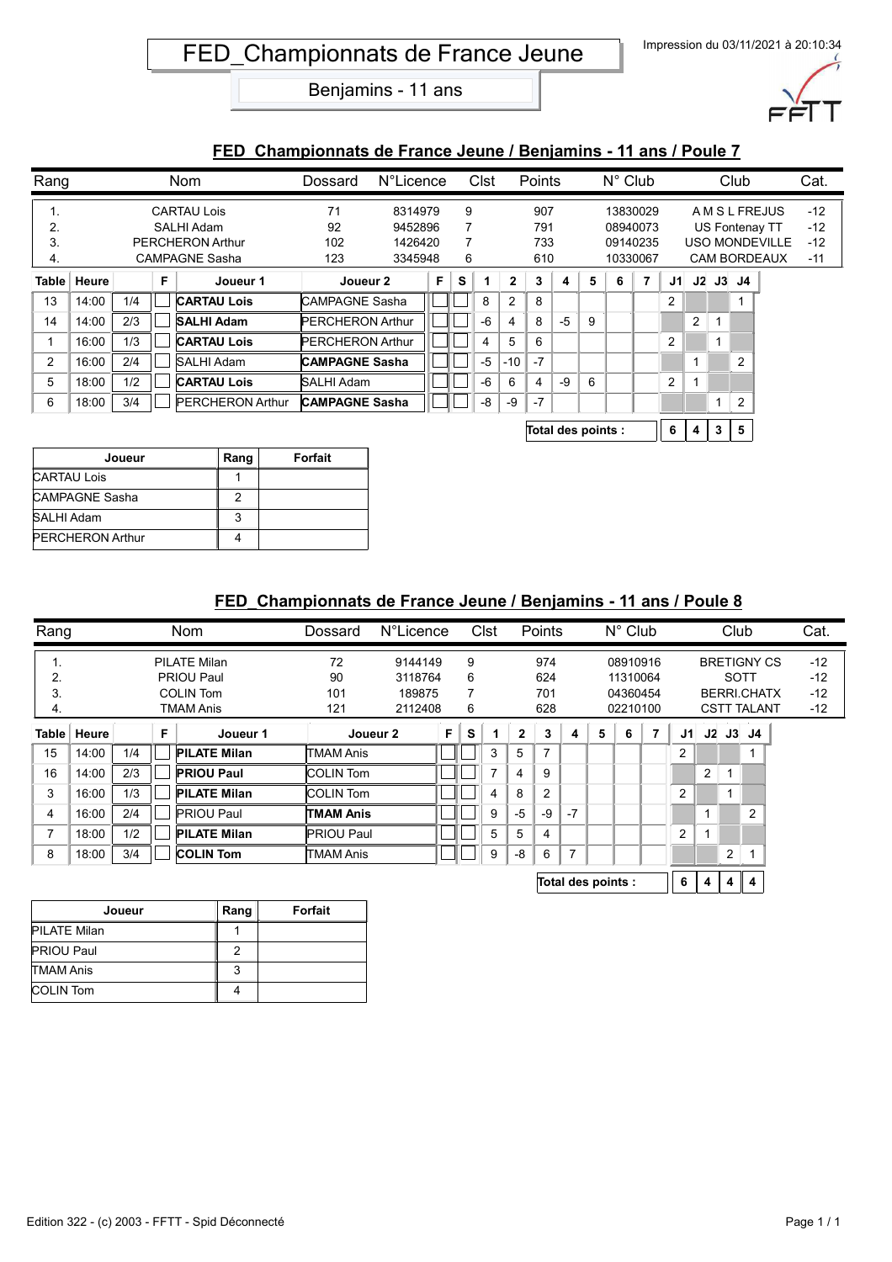

#### **FED\_Championnats de France Jeune / Benjamins - 11 ans / Poule 7**

| Rang |               |     |   | <b>Nom</b>              | Dossard                 | N°Licence |   | Clst |      |                | Points |      |   | $N^{\circ}$ Club |                |    | Club           |  |                |                       | Cat.  |
|------|---------------|-----|---|-------------------------|-------------------------|-----------|---|------|------|----------------|--------|------|---|------------------|----------------|----|----------------|--|----------------|-----------------------|-------|
| ι.   |               |     |   | <b>CARTAU Lois</b>      | 71                      | 8314979   |   | 9    |      |                | 907    |      |   |                  | 13830029       |    |                |  |                | A M S L FREJUS        | $-12$ |
| 2.   |               |     |   | SALHI Adam              | 92                      | 9452896   |   | 7    |      |                | 791    |      |   |                  | 08940073       |    |                |  |                | US Fontenay TT        | $-12$ |
| 3.   |               |     |   | <b>PERCHERON Arthur</b> | 102                     | 1426420   |   | 7    |      |                | 733    |      |   |                  | 09140235       |    |                |  |                | <b>USO MONDEVILLE</b> | $-12$ |
| 4.   |               |     |   | <b>CAMPAGNE Sasha</b>   | 123                     | 3345948   |   | 6    |      |                | 610    |      |   | 10330067         |                |    |                |  |                | <b>CAM BORDEAUX</b>   | $-11$ |
|      | Table   Heure |     | F | Joueur 1                | Joueur 2                |           | F | S    |      | $\mathbf{2}$   | 3      | 4    | 5 | 6                | $\overline{7}$ | J1 |                |  | $J2$ $J3$ $J4$ |                       |       |
| 13   | 14:00         | 1/4 |   | <b>CARTAU Lois</b>      | <b>CAMPAGNE Sasha</b>   |           |   |      | 8    | $\overline{c}$ | 8      |      |   |                  |                | 2  |                |  |                |                       |       |
| 14   | 14:00         | 2/3 |   | <b>SALHI Adam</b>       | <b>PERCHERON Arthur</b> |           |   |      | -6   | 4              | 8      | $-5$ | 9 |                  |                |    | 2              |  |                |                       |       |
|      | 16:00         | 1/3 |   | <b>CARTAU Lois</b>      | <b>PERCHERON Arthur</b> |           |   |      | 4    | 5              | 6      |      |   |                  |                | 2  |                |  |                |                       |       |
| 2    | 16:00         | 2/4 |   | SALHI Adam              | <b>CAMPAGNE Sasha</b>   |           |   |      | $-5$ | $-10$          | $-7$   |      |   |                  |                |    | $\overline{ }$ |  | 2              |                       |       |
| 5    | 18:00         | 1/2 |   | <b>CARTAU Lois</b>      | SALHI Adam              |           |   |      | -6   | 6              | 4      | $-9$ | 6 |                  |                | 2  | -1             |  |                |                       |       |
| 6    | 18:00         | 3/4 |   | <b>PERCHERON Arthur</b> | <b>CAMPAGNE Sasha</b>   |           |   |      | -8   | -9             | $-7$   |      |   |                  |                |    |                |  | 2              |                       |       |
|      |               |     |   |                         |                         |           |   |      |      |                |        |      |   |                  |                |    |                |  |                |                       |       |

**Total des points : 6 4 3 5**

| Joueur                  | Rang | Forfait |
|-------------------------|------|---------|
| <b>CARTAU Lois</b>      |      |         |
| CAMPAGNE Sasha          |      |         |
| SALHI Adam              | 3    |         |
| <b>PERCHERON Arthur</b> |      |         |

| Rang           |       |     | <b>Nom</b><br><b>N°Licence</b><br>Clst<br>Points<br>Dossard |                     | $N^{\circ}$ Club  |          |    |   | Club           |              |                |      | Cat.               |          |   |                    |                    |                    |                |       |       |
|----------------|-------|-----|-------------------------------------------------------------|---------------------|-------------------|----------|----|---|----------------|--------------|----------------|------|--------------------|----------|---|--------------------|--------------------|--------------------|----------------|-------|-------|
| ι.             |       |     |                                                             | <b>PILATE Milan</b> | 72<br>9144149     |          | 9  |   |                | 974          |                |      | 08910916           |          |   |                    |                    | <b>BRETIGNY CS</b> |                | $-12$ |       |
| 2.             |       |     |                                                             | PRIOU Paul          | 90                | 3118764  |    | 6 |                |              | 624            |      |                    | 11310064 |   |                    |                    | SOTT               |                |       | $-12$ |
| 3.             |       |     |                                                             | <b>COLIN Tom</b>    | 101<br>189875     |          | 7  |   | 701            |              |                |      | 04360454           |          |   | <b>BERRI.CHATX</b> |                    |                    |                | $-12$ |       |
| 4.             |       |     |                                                             | TMAM Anis           | 121<br>2112408    |          | 6  |   | 628            |              | 02210100       |      |                    |          |   |                    | <b>CSTT TALANT</b> |                    | $-12$          |       |       |
| Table ∣        | Heure |     | F                                                           | Joueur 1            |                   | Joueur 2 | F. | S |                | $\mathbf{2}$ | 3              | 4    | 5                  | 6        | 7 | J1                 |                    |                    | $J2$ $J3$ $J4$ |       |       |
| 15             | 14:00 | 1/4 |                                                             | <b>PILATE Milan</b> | TMAM Anis         |          |    |   | 3              | 5            | 7              |      |                    |          |   | 2                  |                    |                    |                |       |       |
| 16             | 14:00 | 2/3 |                                                             | <b>PRIOU Paul</b>   | <b>COLIN Tom</b>  |          |    |   | $\overline{7}$ | 4            | 9              |      |                    |          |   |                    | 2                  |                    |                |       |       |
| 3              | 16:00 | 1/3 |                                                             | <b>PILATE Milan</b> | <b>COLIN Tom</b>  |          |    |   | 4              | 8            | $\overline{2}$ |      |                    |          |   | $\overline{2}$     |                    | 4                  |                |       |       |
| 4              | 16:00 | 2/4 |                                                             | <b>PRIOU Paul</b>   | <b>TMAM Anis</b>  |          |    |   | 9              | -5           | -9             | $-7$ |                    |          |   |                    |                    |                    | 2              |       |       |
| $\overline{7}$ | 18:00 | 1/2 |                                                             | <b>PILATE Milan</b> | <b>PRIOU Paul</b> |          |    |   | 5              | 5            | 4              |      |                    |          |   | $\overline{2}$     |                    |                    |                |       |       |
| 8              | 18:00 | 3/4 |                                                             | <b>COLIN Tom</b>    | <b>TMAM Anis</b>  |          |    |   | 9              | -8           | 6              |      |                    |          |   |                    |                    | 2                  |                |       |       |
|                |       |     |                                                             |                     |                   |          |    |   |                |              |                |      | Total des points : |          |   | 6                  | 4                  | 4                  | 4              |       |       |

| Joueur              | Rang | <b>Forfait</b> |
|---------------------|------|----------------|
| <b>PILATE Milan</b> |      |                |
| <b>PRIOU Paul</b>   |      |                |
| <b>TMAM Anis</b>    | 3    |                |
| <b>COLIN Tom</b>    |      |                |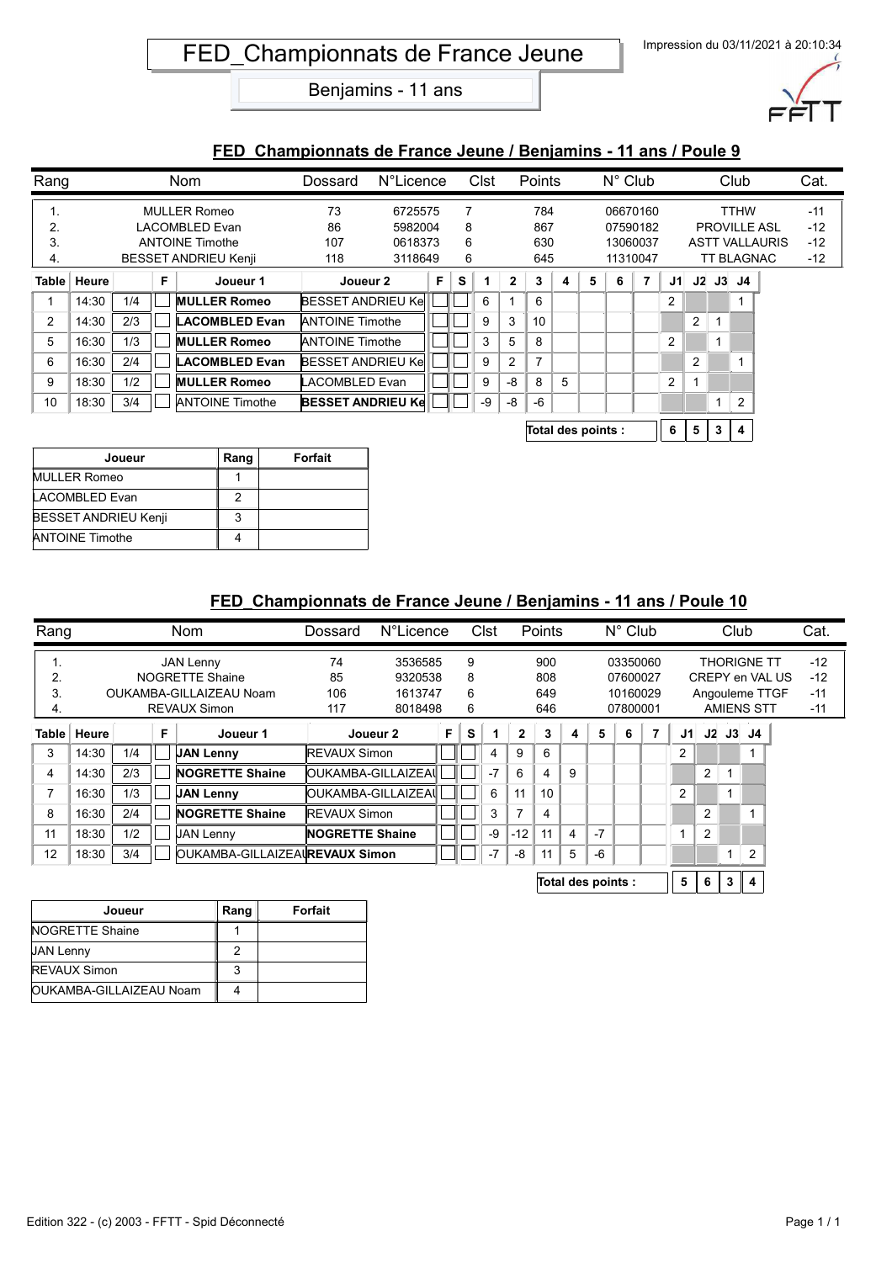

#### **FED\_Championnats de France Jeune / Benjamins - 11 ans / Poule 9**

| Rang           |       |     |    | Nom                         | Dossard                  | N°Licence |   |   | Clst | Points       |                |          |          | $N^{\circ}$ Club |          |        |                |                       | Club              |                     | Cat.  |
|----------------|-------|-----|----|-----------------------------|--------------------------|-----------|---|---|------|--------------|----------------|----------|----------|------------------|----------|--------|----------------|-----------------------|-------------------|---------------------|-------|
| ι.             |       |     |    | <b>MULLER Romeo</b>         | 73                       | 6725575   |   |   |      | 784          |                | 06670160 |          |                  |          |        |                | <b>TTHW</b>           |                   | $-11$               |       |
| 2.             |       |     |    | LACOMBLED Evan              | 86                       | 5982004   |   | 8 |      |              | 867            |          |          |                  | 07590182 |        |                |                       |                   | <b>PROVILLE ASL</b> | $-12$ |
| 3.             |       |     |    | <b>ANTOINE Timothe</b>      | 107                      | 0618373   |   | 6 |      |              | 630            |          |          |                  | 13060037 |        |                | <b>ASTT VALLAURIS</b> |                   |                     | $-12$ |
| 4.             |       |     |    | <b>BESSET ANDRIEU Kenji</b> | 118<br>3118649           |           |   | 6 |      | 645          |                |          | 11310047 |                  |          |        |                |                       | <b>TT BLAGNAC</b> |                     | $-12$ |
| <b>Table</b>   | Heure |     | F. | Joueur 1                    | Joueur 2                 |           | F | s |      | $\mathbf{2}$ | 3              | 4        | 5        | 6                | 7        | J1     |                |                       | $J2$ $J3$ $J4$    |                     |       |
|                | 14:30 | 1/4 |    | <b>MULLER Romeo</b>         | <b>BESSET ANDRIEU Ke</b> |           |   |   | 6    |              | 6              |          |          |                  |          | 2      |                |                       |                   |                     |       |
| $\overline{2}$ | 14:30 | 2/3 |    | <b>LACOMBLED Evan</b>       | <b>ANTOINE Timothe</b>   |           |   |   | 9    | 3            | 10             |          |          |                  |          |        | $\overline{2}$ |                       |                   |                     |       |
| 5              | 16:30 | 1/3 |    | <b>MULLER Romeo</b>         | <b>ANTOINE Timothe</b>   |           |   |   | 3    | 5            | 8              |          |          |                  |          | 2      |                | 1                     |                   |                     |       |
| 6              | 16:30 | 2/4 |    | <b>LACOMBLED Evan</b>       | <b>BESSET ANDRIEU Ke</b> |           |   |   | 9    | 2            | $\overline{7}$ |          |          |                  |          |        | 2              |                       |                   |                     |       |
| 9              | 18:30 | 1/2 |    | <b>MULLER Romeo</b>         | LACOMBLED Evan           |           |   |   | 9    | -8           | 8              | 5        |          |                  |          | 2      |                |                       |                   |                     |       |
| 10             | 18:30 | 3/4 |    | <b>ANTOINE Timothe</b>      | <b>BESSET ANDRIEU Ke</b> |           |   |   | -9   | -8           | -6             |          |          |                  |          |        |                | $\mathbf{1}$          | 2                 |                     |       |
|                |       |     |    |                             |                          |           |   |   |      |              |                | _        |          |                  |          | $\sim$ |                |                       |                   |                     |       |

| Total des points : |  |  | $5 \mid 3 \mid 4$ |  |  |
|--------------------|--|--|-------------------|--|--|
|--------------------|--|--|-------------------|--|--|

| Joueur                      | Rang | Forfait |
|-----------------------------|------|---------|
| <b>MULLER Romeo</b>         |      |         |
| <b>LACOMBLED Evan</b>       |      |         |
| <b>BESSET ANDRIEU Kenji</b> |      |         |
| <b>ANTOINE Timothe</b>      |      |         |

| Rang  |       |     |   | <b>Nom</b>                     | Dossard              | N°Licence                 |  |   | Clst |       | Points |                |                    | $N^{\circ}$ Club |   | Club           |                |   |                   | Cat.  |  |
|-------|-------|-----|---|--------------------------------|----------------------|---------------------------|--|---|------|-------|--------|----------------|--------------------|------------------|---|----------------|----------------|---|-------------------|-------|--|
| ι.    |       |     |   | <b>JAN Lenny</b>               | 74                   | 3536585                   |  | 9 |      |       | 900    |                |                    | 03350060         |   |                |                |   | THORIGNE TT       | $-12$ |  |
| 2.    |       |     |   | NOGRETTE Shaine                | 85                   | 9320538                   |  | 8 |      |       | 808    | 07600027       |                    |                  |   |                |                |   | CREPY en VAL US   | $-12$ |  |
| 3.    |       |     |   | OUKAMBA-GILLAIZEAU Noam        | 106                  | 1613747                   |  | 6 |      |       | 649    |                |                    | 10160029         |   |                |                |   | Angouleme TTGF    | $-11$ |  |
| 4.    |       |     |   | <b>REVAUX Simon</b>            | 117                  | 8018498                   |  |   |      |       | 646    |                |                    | 07800001         |   |                |                |   | <b>AMIENS STT</b> | $-11$ |  |
| Table | Heure |     | F | Joueur 1                       |                      | F.<br>Joueur 2            |  | s |      | 2     | 3      | 4              | 5                  | 6                | 7 | J1.            |                |   | $J2$ $J3$ $J4$    |       |  |
| 3     | 14:30 | 1/4 |   | <b>JAN Lenny</b>               | <b>IREVAUX Simon</b> |                           |  |   | 4    | 9     | 6      |                |                    |                  |   | 2              |                |   |                   |       |  |
| 4     | 14:30 | 2/3 |   | <b>NOGRETTE Shaine</b>         |                      | <b>OUKAMBA-GILLAIZEAI</b> |  |   | $-7$ | 6     | 4      | 9              |                    |                  |   |                | 2              |   |                   |       |  |
| 7     | 16:30 | 1/3 |   | <b>JAN Lenny</b>               |                      | OUKAMBA-GILLAIZEAI        |  |   | 6    | 11    | 10     |                |                    |                  |   | $\overline{2}$ |                |   |                   |       |  |
| 8     | 16:30 | 2/4 |   | <b>NOGRETTE Shaine</b>         |                      | <b>REVAUX Simon</b>       |  |   | 3    | 7     | 4      |                |                    |                  |   |                | 2              |   |                   |       |  |
| 11    | 18:30 | 1/2 |   | <b>JAN Lenny</b>               | NOGRETTE Shaine      |                           |  |   | -9   | $-12$ | 11     | $\overline{4}$ | $-7$               |                  |   |                | $\overline{2}$ |   |                   |       |  |
| 12    | 18:30 | 3/4 |   | OUKAMBA-GILLAIZEAUREVAUX Simon |                      |                           |  |   | $-7$ | -8    | 11     | 5              | $-6$               |                  |   |                |                |   | 2                 |       |  |
|       |       |     |   |                                |                      |                           |  |   |      |       |        |                | Total des points : |                  |   | 5              | 6              | 3 | 4                 |       |  |

| Joueur                  | Rang | Forfait |
|-------------------------|------|---------|
| NOGRETTE Shaine         |      |         |
| <b>JAN Lenny</b>        |      |         |
| <b>REVAUX Simon</b>     |      |         |
| OUKAMBA-GILLAIZEAU Noam |      |         |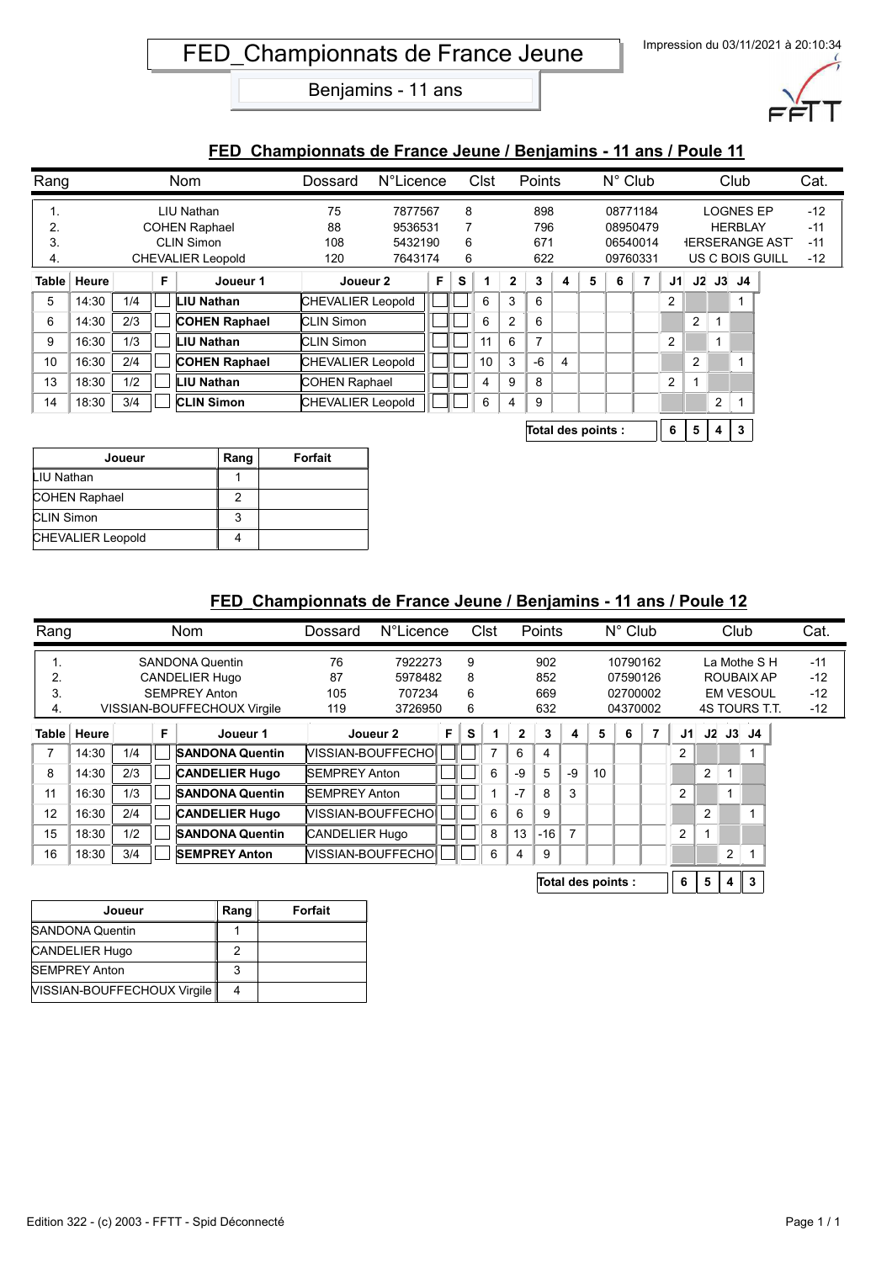

#### **FED\_Championnats de France Jeune / Benjamins - 11 ans / Poule 11**

| Rang  |       |     |   | <b>Nom</b>               | Dossard                  | <b>N°Licence</b>         |  |   | Clst |                | Points         |   |   | $N^{\circ}$ Club |                |    |                |                | Club             |                       | Cat.  |
|-------|-------|-----|---|--------------------------|--------------------------|--------------------------|--|---|------|----------------|----------------|---|---|------------------|----------------|----|----------------|----------------|------------------|-----------------------|-------|
| ι.    |       |     |   | LIU Nathan               | 75                       | 7877567                  |  |   | 8    |                | 898            |   |   |                  | 08771184       |    |                |                | <b>LOGNES EP</b> |                       | $-12$ |
|       |       |     |   | <b>COHEN Raphael</b>     | 88                       | 9536531                  |  | 7 |      |                | 796            |   |   | 08950479         |                |    |                |                | <b>HERBLAY</b>   |                       | $-11$ |
| 3.    |       |     |   | <b>CLIN Simon</b>        | 108                      | 5432190                  |  | 6 |      |                | 671            |   |   |                  | 06540014       |    |                |                |                  | <b>IERSERANGE AST</b> | $-11$ |
| 4.    |       |     |   | <b>CHEVALIER Leopold</b> | 120                      | 7643174                  |  | 6 |      |                | 622            |   |   |                  | 09760331       |    |                |                |                  | US C BOIS GUILL       | $-12$ |
| Table | Heure |     | F | Joueur 1                 |                          | F<br>Joueur 2            |  | s |      | $\mathbf{2}$   | 3              | 4 | 5 | 6                | $\overline{7}$ | J1 |                |                | $J2$ $J3$ $J4$   |                       |       |
| 5     | 14:30 | 1/4 |   | LIU Nathan               |                          | <b>CHEVALIER Leopold</b> |  |   | 6    | 3              | 6              |   |   |                  |                | 2  |                |                |                  |                       |       |
| 6     | 14:30 | 2/3 |   | <b>COHEN Raphael</b>     | <b>CLIN Simon</b>        |                          |  |   | 6    | $\overline{2}$ | 6              |   |   |                  |                |    | $\overline{2}$ |                |                  |                       |       |
| 9     | 16:30 | 1/3 |   | <b>IU Nathan</b>         | <b>CLIN Simon</b>        |                          |  |   | 11   | 6              | $\overline{ }$ |   |   |                  |                | 2  |                |                |                  |                       |       |
| 10    | 16:30 | 2/4 |   | <b>COHEN Raphael</b>     |                          | <b>CHEVALIER Leopold</b> |  |   | 10   | 3              | $-6$           | 4 |   |                  |                |    | 2              |                |                  |                       |       |
| 13    | 18:30 | 1/2 |   | LIU Nathan               | <b>COHEN Raphael</b>     |                          |  |   | 4    | 9              | 8              |   |   |                  |                | 2  |                |                |                  |                       |       |
| 14    | 18:30 | 3/4 |   | <b>CLIN Simon</b>        | <b>CHEVALIER Leopold</b> |                          |  |   | 6    | 4              | 9              |   |   |                  |                |    |                | $\overline{2}$ |                  |                       |       |
|       |       |     |   |                          |                          |                          |  |   |      |                |                |   |   |                  |                |    |                |                |                  |                       |       |

| Total des points : |  |  |  | $5 \mid 4 \mid 3$ |  |  |
|--------------------|--|--|--|-------------------|--|--|
|--------------------|--|--|--|-------------------|--|--|

| Joueur                   | Rang | Forfait |
|--------------------------|------|---------|
| LIU Nathan               |      |         |
| <b>COHEN Raphael</b>     |      |         |
| <b>CLIN Simon</b>        | 3    |         |
| <b>CHEVALIER Leopold</b> |      |         |

| Rang    |       |     |   | <b>Nom</b>                  | Dossard              | N°Licence                |    |   | Clst           |              | <b>Points</b> |      |                    | $N^{\circ}$ Club |   |                |                | Club |                  | Cat.  |
|---------|-------|-----|---|-----------------------------|----------------------|--------------------------|----|---|----------------|--------------|---------------|------|--------------------|------------------|---|----------------|----------------|------|------------------|-------|
| . .     |       |     |   | <b>SANDONA Quentin</b>      | 76                   | 7922273                  |    | 9 |                |              | 902           |      |                    | 10790162         |   |                |                |      | La Mothe S H     | $-11$ |
| 2.      |       |     |   | <b>CANDELIER Hugo</b>       | 87                   | 5978482                  |    | 8 |                |              | 852           |      |                    | 07590126         |   |                |                |      | ROUBAIX AP       | $-12$ |
| 3.      |       |     |   | <b>SEMPREY Anton</b>        | 105                  | 707234                   |    | 6 |                |              | 669           |      |                    | 02700002         |   |                |                |      | <b>EM VESOUL</b> | $-12$ |
| 4.      |       |     |   | VISSIAN-BOUFFECHOUX Virgile | 119                  | 3726950                  |    | 6 |                |              | 632           |      |                    | 04370002         |   |                |                |      | 4S TOURS T.T.    | $-12$ |
| Table ∣ | Heure |     | F | Joueur 1                    |                      | Joueur 2                 | F. | S |                | $\mathbf{2}$ | 3             | 4    | 5                  | 6                | 7 | J1             |                |      | $J2$ $J3$ $J4$   |       |
| 7       | 14:30 | 1/4 |   | <b>SANDONA Quentin</b>      |                      | <b>NISSIAN-BOUFFECHO</b> |    |   | $\overline{ }$ | 6            | 4             |      |                    |                  |   | $\overline{2}$ |                |      |                  |       |
| 8       | 14:30 | 2/3 |   | <b>CANDELIER Hugo</b>       | <b>SEMPREY Anton</b> |                          |    |   | 6              | -9           | 5             | $-9$ | 10                 |                  |   |                | $\overline{2}$ |      |                  |       |
| 11      | 16:30 | 1/3 |   | <b>SANDONA Quentin</b>      | <b>SEMPREY Anton</b> |                          |    |   |                | $-7$         | 8             | 3    |                    |                  |   | 2              |                |      |                  |       |
| 12      | 16:30 | 2/4 |   | <b>CANDELIER Hugo</b>       |                      | MISSIAN-BOUFFECHO        |    |   | 6              | 6            | 9             |      |                    |                  |   |                | 2              |      |                  |       |
| 15      | 18:30 | 1/2 |   | <b>SANDONA Quentin</b>      | CANDELIER Hugo       |                          |    |   | 8              | 13           | $-16$         |      |                    |                  |   | $\overline{2}$ |                |      |                  |       |
| 16      | 18:30 | 3/4 |   | <b>SEMPREY Anton</b>        |                      | <b>NISSIAN-BOUFFECHO</b> |    |   | 6              | 4            | 9             |      |                    |                  |   |                |                | 2    |                  |       |
|         |       |     |   |                             |                      |                          |    |   |                |              |               |      | Total des points : |                  |   | 6              | 5              | 4    | 3                |       |

| Joueur                             | Rang | <b>Forfait</b> |
|------------------------------------|------|----------------|
| <b>SANDONA Quentin</b>             |      |                |
| <b>CANDELIER Hugo</b>              |      |                |
| <b>SEMPREY Anton</b>               | 3    |                |
| <b>NISSIAN-BOUFFECHOUX Virgile</b> |      |                |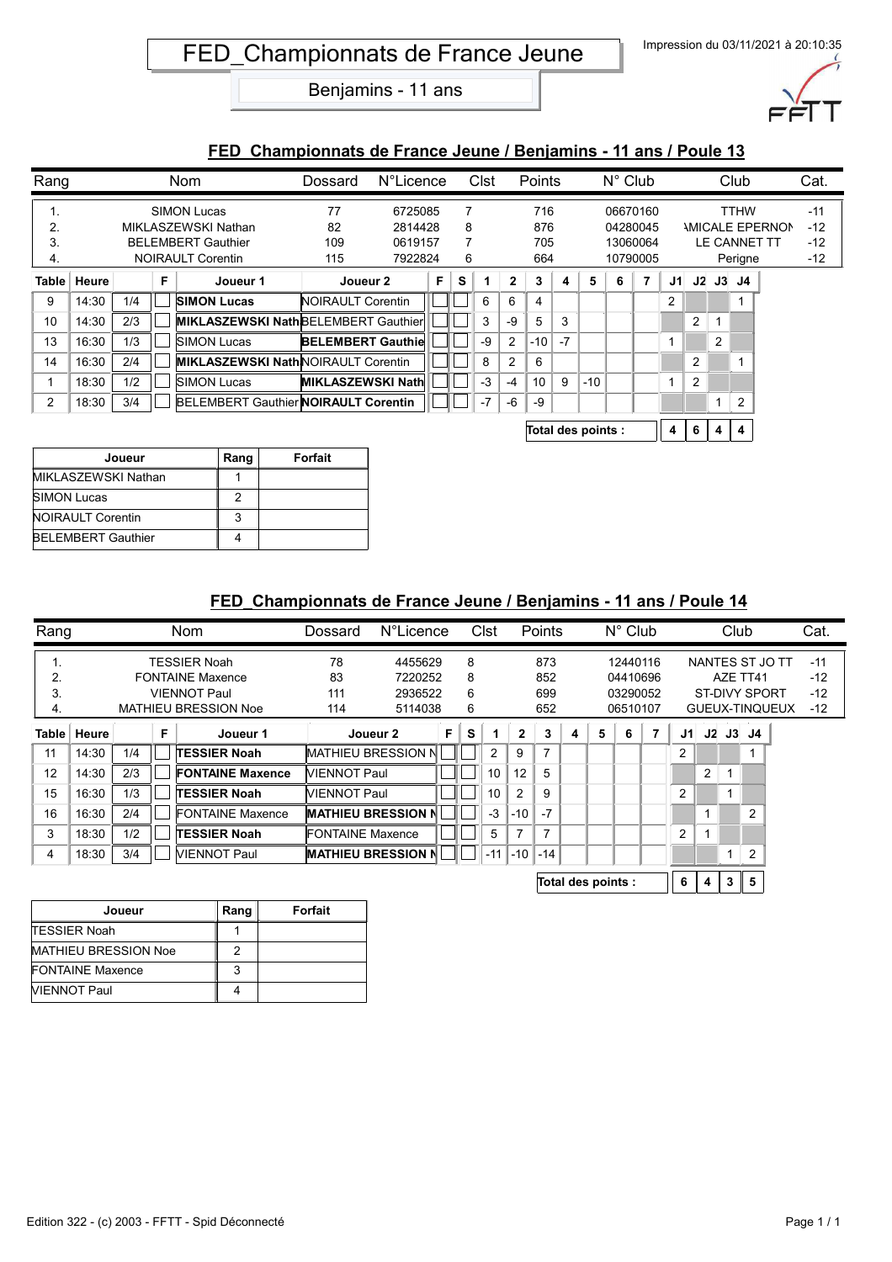

#### **FED\_Championnats de France Jeune / Benjamins - 11 ans / Poule 13**

| Rang           |       |     |   | <b>Nom</b>                                  | Dossard                  | N°Licence |   |   | Clst |                | Points |      |       | $N^{\circ}$ Club |          |     |   |                | Club                |                              | Cat.  |
|----------------|-------|-----|---|---------------------------------------------|--------------------------|-----------|---|---|------|----------------|--------|------|-------|------------------|----------|-----|---|----------------|---------------------|------------------------------|-------|
| ι.             |       |     |   | <b>SIMON Lucas</b>                          | 77                       | 6725085   |   | 7 |      |                | 716    |      |       |                  | 06670160 |     |   |                | <b>TTHW</b>         |                              | $-11$ |
| 2.             |       |     |   | MIKLASZEWSKI Nathan                         | 82                       | 2814428   |   | 8 |      |                | 876    |      |       |                  | 04280045 |     |   |                |                     | <b><i>NICALE EPERNON</i></b> | $-12$ |
| 3.             |       |     |   | <b>BELEMBERT Gauthier</b>                   | 109                      | 0619157   |   | 7 |      |                | 705    |      |       |                  | 13060064 |     |   |                | <b>LE CANNET TT</b> |                              | $-12$ |
| 4.             |       |     |   | <b>NOIRAULT Corentin</b>                    | 115                      | 7922824   |   | 6 |      |                | 664    |      |       |                  | 10790005 |     |   |                | Perigne             |                              | $-12$ |
| <b>Table</b>   | Heure |     | F | Joueur 1                                    | Joueur 2                 |           | F | s |      | $\mathbf{2}$   | 3      | 4    | 5     | 6                | 7        | J1. |   | $J2$ $J3$      | J4                  |                              |       |
| 9              | 14:30 | 1/4 |   | <b>SIMON Lucas</b>                          | <b>NOIRAULT Corentin</b> |           |   |   | 6    | 6              | 4      |      |       |                  |          | 2   |   |                |                     |                              |       |
| 10             | 14:30 | 2/3 |   | <b>MIKLASZEWSKI NathBELEMBERT Gauthier</b>  |                          |           |   |   | 3    | -9             | 5      | 3    |       |                  |          |     | 2 |                |                     |                              |       |
| 13             | 16:30 | 1/3 |   | <b>SIMON Lucas</b>                          | <b>BELEMBERT Gauthie</b> |           |   |   | -9   | $\overline{c}$ | $-10$  | $-7$ |       |                  |          |     |   | $\overline{2}$ |                     |                              |       |
| 14             | 16:30 | 2/4 |   | <b>MIKLASZEWSKI NathINOIRAULT Corentin</b>  |                          |           |   |   | 8    | 2              | 6      |      |       |                  |          |     | 2 |                |                     |                              |       |
|                | 18:30 | 1/2 |   | <b>SIMON Lucas</b>                          | <b>MIKLASZEWSKI Nath</b> |           |   |   | $-3$ | $-4$           | 10     | 9    | $-10$ |                  |          |     | 2 |                |                     |                              |       |
| $\overline{2}$ | 18:30 | 3/4 |   | <b>BELEMBERT Gauthier NOIRAULT Corentin</b> |                          |           |   |   | $-7$ | -6             | -9     |      |       |                  |          |     |   |                | $\overline{2}$      |                              |       |
|                |       |     |   |                                             |                          |           |   |   |      |                |        |      |       |                  |          |     |   |                |                     |                              |       |

Total des points :  $\begin{vmatrix} 4 & 6 & 4 & 4 \end{vmatrix}$ 

| Joueur                    | Rang | Forfait |
|---------------------------|------|---------|
| MIKLASZEWSKI Nathan       |      |         |
| <b>SIMON Lucas</b>        |      |         |
| <b>NOIRAULT Corentin</b>  | з    |         |
| <b>BELEMBERT Gauthier</b> |      |         |

| Rang  |       |     |   | <b>Nom</b>                  | Dossard                   | N°Licence           |    |   | Clst  |                | Points         |                    |   | $N^{\circ}$ Club |   |                |   | Club |                 |                | Cat.  |
|-------|-------|-----|---|-----------------------------|---------------------------|---------------------|----|---|-------|----------------|----------------|--------------------|---|------------------|---|----------------|---|------|-----------------|----------------|-------|
| п.    |       |     |   | <b>TESSIER Noah</b>         | 78                        | 4455629             |    | 8 |       |                | 873            |                    |   | 12440116         |   |                |   |      | NANTES ST JO TT |                | $-11$ |
| 2.    |       |     |   | <b>FONTAINE Maxence</b>     | 83                        | 7220252             |    | 8 |       |                | 852            |                    |   | 04410696         |   |                |   |      | AZE TT41        |                | $-12$ |
| 3.    |       |     |   | <b>VIENNOT Paul</b>         | 111                       | 2936522             |    | 6 |       |                | 699            |                    |   | 03290052         |   |                |   |      | ST-DIVY SPORT   |                | $-12$ |
| 4.    |       |     |   | <b>MATHIEU BRESSION Noe</b> | 114                       | 5114038             |    | 6 |       |                | 652            |                    |   | 06510107         |   |                |   |      |                 | GUEUX-TINQUEUX | $-12$ |
| Table | Heure |     | F | Joueur 1                    |                           | Joueur <sub>2</sub> | F. | s |       | $\mathbf{2}$   | 3              | 4                  | 5 | 6                | 7 | J1             |   |      | $J2$ $J3$ $J4$  |                |       |
| 11    | 14:30 | 1/4 |   | TESSIER Noah                | <b>MATHIEU BRESSION N</b> |                     |    |   | 2     | 9              | $\overline{7}$ |                    |   |                  |   | 2              |   |      |                 |                |       |
| 12    | 14:30 | 2/3 |   | <b>FONTAINE Maxence</b>     | VIENNOT Paul              |                     |    |   | 10    | 12             | 5              |                    |   |                  |   |                | 2 |      |                 |                |       |
| 15    | 16:30 | 1/3 |   | <b>TESSIER Noah</b>         | <b>VIENNOT Paul</b>       |                     |    |   | 10    | $\overline{2}$ | 9              |                    |   |                  |   | $\overline{2}$ |   |      |                 |                |       |
| 16    | 16:30 | 2/4 |   | <b>FONTAINE Maxence</b>     | <b>MATHIEU BRESSION N</b> |                     |    |   | $-3$  | $-10$          | $-7$           |                    |   |                  |   |                |   |      | $\overline{2}$  |                |       |
| 3     | 18:30 | 1/2 |   | <b>TESSIER Noah</b>         | FONTAINE Maxence          |                     |    |   | 5     | 7              | $\overline{ }$ |                    |   |                  |   | 2              |   |      |                 |                |       |
| 4     | 18:30 | 3/4 |   | <b>VIENNOT Paul</b>         | <b>MATHIEU BRESSION N</b> |                     |    |   | $-11$ | $-10$          | $-14$          |                    |   |                  |   |                |   |      | $\overline{2}$  |                |       |
|       |       |     |   |                             |                           |                     |    |   |       |                |                | Total des points : |   |                  |   | 6              | 4 | 3    | 5               |                |       |

| Joueur                      | Rang | Forfait |
|-----------------------------|------|---------|
| <b>ITFSSIER Noah</b>        |      |         |
| <b>MATHIEU BRESSION Noe</b> |      |         |
| <b>FONTAINE Maxence</b>     | 3    |         |
| <b>NIENNOT Paul</b>         |      |         |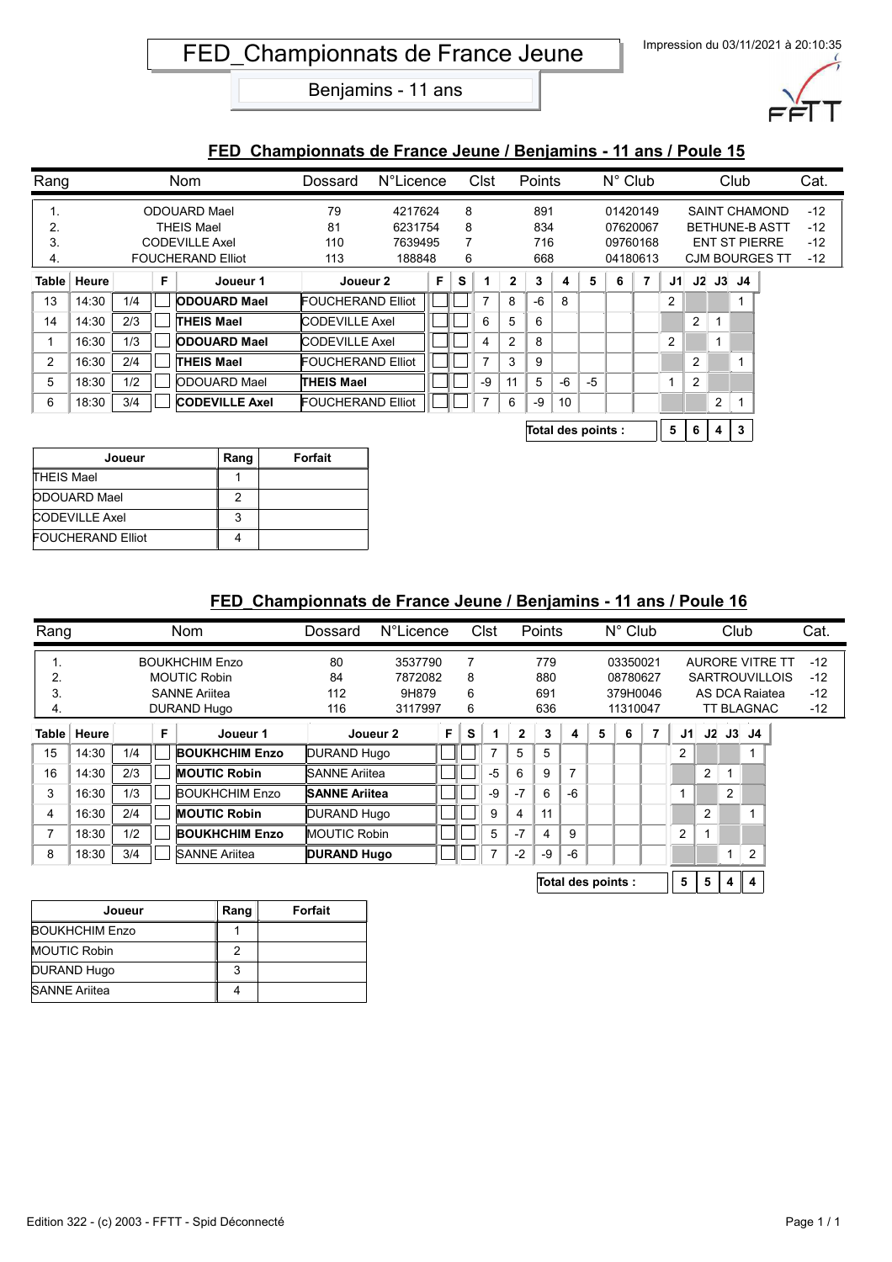

#### **FED\_Championnats de France Jeune / Benjamins - 11 ans / Poule 15**

| Rang  |       |     |   | <b>Nom</b>               | Dossard                  | N°Licence |   |   | Clst |              | Points |    |       | $N^{\circ}$ Club |                |                |                |           | Club |                       | Cat.  |
|-------|-------|-----|---|--------------------------|--------------------------|-----------|---|---|------|--------------|--------|----|-------|------------------|----------------|----------------|----------------|-----------|------|-----------------------|-------|
| ι.    |       |     |   | ODOUARD Mael             | 79                       | 4217624   |   | 8 |      |              | 891    |    |       |                  | 01420149       |                |                |           |      | <b>SAINT CHAMOND</b>  | $-12$ |
| 2.    |       |     |   | THEIS Mael               | 81                       | 6231754   |   | 8 |      |              | 834    |    |       |                  | 07620067       |                |                |           |      | <b>BETHUNE-B ASTT</b> | $-12$ |
| 3.    |       |     |   | <b>CODEVILLE Axel</b>    | 110                      | 7639495   |   | 7 |      |              | 716    |    |       |                  | 09760168       |                |                |           |      | <b>ENT ST PIERRE</b>  | $-12$ |
| 4.    |       |     |   | <b>FOUCHERAND Elliot</b> | 113                      | 188848    |   | 6 |      |              | 668    |    |       |                  | 04180613       |                |                |           |      | <b>CJM BOURGES TT</b> | $-12$ |
| Table | Heure |     | F | Joueur 1                 | Joueur 2                 |           | F | s |      | $\mathbf{2}$ | 3      | 4  | 5     | 6                | $\overline{7}$ | J1.            |                | $J2$ $J3$ | J4   |                       |       |
| 13    | 14:30 | 1/4 |   | <b>ODOUARD Mael</b>      | <b>FOUCHERAND Elliot</b> |           |   |   | 7    | 8            | $-6$   | 8  |       |                  |                | 2              |                |           |      |                       |       |
| 14    | 14:30 | 2/3 |   | <b>THEIS Mael</b>        | <b>CODEVILLE Axel</b>    |           |   |   | 6    | 5            | 6      |    |       |                  |                |                | 2              |           |      |                       |       |
|       | 16:30 | 1/3 |   | <b>ODOUARD Mael</b>      | <b>CODEVILLE Axel</b>    |           |   |   | 4    | 2            | 8      |    |       |                  |                | $\overline{2}$ |                |           |      |                       |       |
| 2     | 16:30 | 2/4 |   | <b>THEIS Mael</b>        | <b>FOUCHERAND Elliot</b> |           |   |   |      | 3            | 9      |    |       |                  |                |                | $\overline{2}$ |           |      |                       |       |
| 5     | 18:30 | 1/2 |   | <b>ODOUARD Mael</b>      | <b>THEIS Mael</b>        |           |   |   | -9   | 11           | 5      | -6 | -5    |                  |                |                | 2              |           |      |                       |       |
| 6     | 18:30 | 3/4 |   | <b>CODEVILLE Axel</b>    | <b>FOUCHERAND Elliot</b> |           |   |   |      | 6            | -9     | 10 |       |                  |                |                |                | 2         |      |                       |       |
|       |       |     |   |                          |                          |           |   |   |      |              |        |    | _ _ . |                  |                |                |                |           |      |                       |       |

| Total des points : |  |  | 5 6 4 3 |  |  |
|--------------------|--|--|---------|--|--|
|--------------------|--|--|---------|--|--|

| Joueur                   | Rang | Forfait |
|--------------------------|------|---------|
| <b>THEIS Mael</b>        |      |         |
| <b>ODOUARD Mael</b>      |      |         |
| <b>CODEVILLE Axel</b>    | 3    |         |
| <b>FOUCHERAND Elliot</b> |      |         |

| Rang  |       |     |   | <b>Nom</b>            | Dossard              | N°Licence |   |   | Clst |              | Points |                |                    | $N^{\circ}$ Club |   |     |    | Club |                   |                        | Cat.  |  |
|-------|-------|-----|---|-----------------------|----------------------|-----------|---|---|------|--------------|--------|----------------|--------------------|------------------|---|-----|----|------|-------------------|------------------------|-------|--|
| Ι.    |       |     |   | <b>BOUKHCHIM Enzo</b> | 80                   | 3537790   |   |   |      |              | 779    |                |                    | 03350021         |   |     |    |      |                   | <b>AURORE VITRE TT</b> | $-12$ |  |
| 2.    |       |     |   | <b>MOUTIC Robin</b>   | 84                   | 7872082   |   | 8 |      |              | 880    |                |                    | 08780627         |   |     |    |      |                   | <b>SARTROUVILLOIS</b>  | $-12$ |  |
| 3.    |       |     |   | <b>SANNE Ariitea</b>  | 112                  | 9H879     |   | 6 |      |              | 691    |                |                    | 379H0046         |   |     |    |      | AS DCA Raiatea    |                        | $-12$ |  |
| 4.    |       |     |   | DURAND Hugo           | 116                  | 3117997   |   | 6 |      |              | 636    |                |                    | 11310047         |   |     |    |      | <b>TT BLAGNAC</b> |                        | $-12$ |  |
| Table | Heure |     | F | Joueur 1              |                      | Joueur 2  | F | s |      | $\mathbf{2}$ | 3      | 4              | 5                  | 6                | 7 | J1. | J2 |      | J3 J4             |                        |       |  |
| 15    | 14:30 | 1/4 |   | <b>BOUKHCHIM Enzo</b> | DURAND Hugo          |           |   |   | 7    | 5            | 5      |                |                    |                  |   | 2   |    |      |                   |                        |       |  |
| 16    | 14:30 | 2/3 |   | <b>MOUTIC Robin</b>   | <b>SANNE Ariitea</b> |           |   |   | $-5$ | 6            | 9      | $\overline{7}$ |                    |                  |   |     | 2  |      |                   |                        |       |  |
| 3     | 16:30 | 1/3 |   | <b>BOUKHCHIM Enzo</b> | <b>SANNE Ariitea</b> |           |   |   | -9   | $-7$         | 6      | $-6$           |                    |                  |   | ٠   |    | 2    |                   |                        |       |  |
| 4     | 16:30 | 2/4 |   | <b>MOUTIC Robin</b>   | DURAND Hugo          |           |   |   | 9    | 4            | 11     |                |                    |                  |   |     | 2  |      |                   |                        |       |  |
| 7     | 18:30 | 1/2 |   | <b>BOUKHCHIM Enzo</b> | MOUTIC Robin         |           |   |   | 5    | $-7$         | 4      | 9              |                    |                  |   | 2   |    |      |                   |                        |       |  |
| 8     | 18:30 | 3/4 |   | <b>SANNE Ariitea</b>  | <b>DURAND Hugo</b>   |           |   |   | 7    | $-2$         | $-9$   | $-6$           |                    |                  |   |     |    |      | $\overline{2}$    |                        |       |  |
|       |       |     |   |                       |                      |           |   |   |      |              |        |                | Total des points : |                  |   | 5   | 5. | 4    | 4                 |                        |       |  |

| Joueur                | Rang | Forfait |
|-----------------------|------|---------|
| <b>BOUKHCHIM Enzo</b> |      |         |
| <b>MOUTIC Robin</b>   |      |         |
| DURAND Hugo           |      |         |
| <b>SANNE Ariitea</b>  |      |         |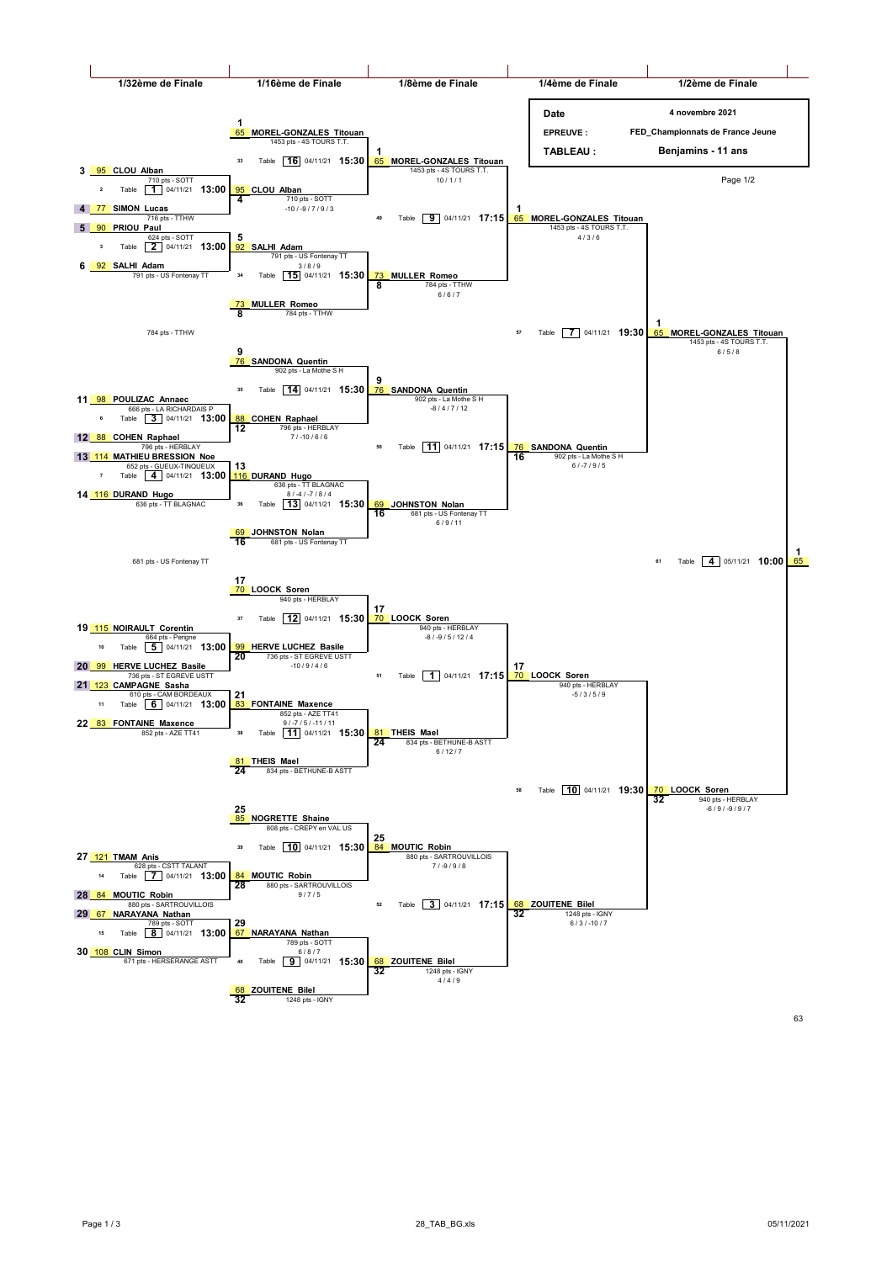

832 pages - ISBN 9-810861 1248 pages - ISBN 9-81086-832-8-832-8-833<br>1990 - ISBN 9-832-8-833-8-833-8-833-8-833-8-833-8-833-8-833-8-833-8-833-8-833-8-833-8-833-8-833-8-833-8-833-8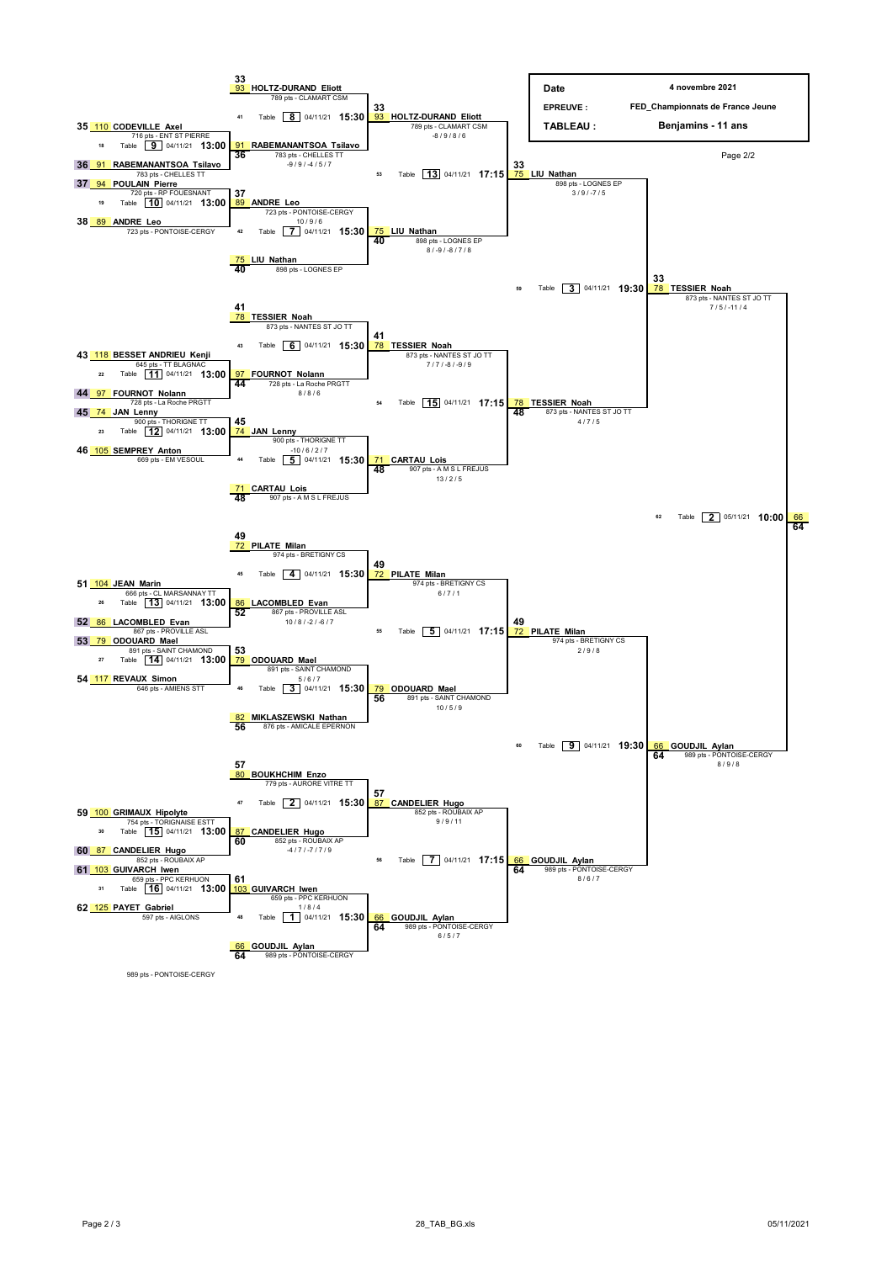